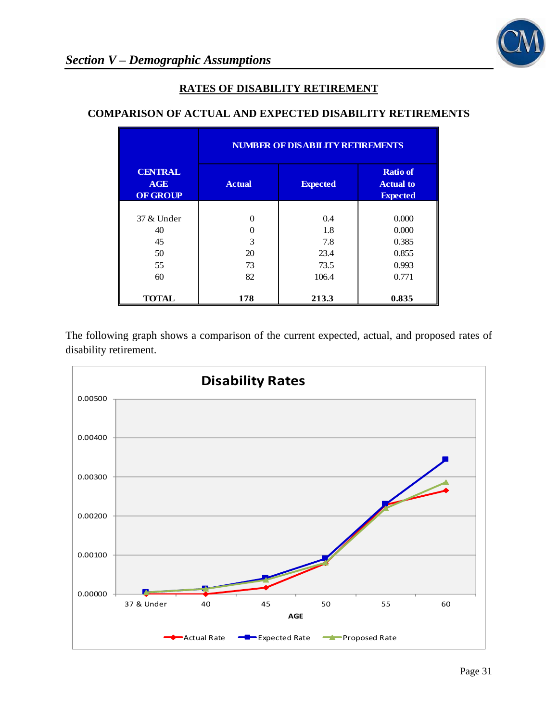

## **RATES OF DISABILITY RETIREMENT**

## **COMPARISON OF ACTUAL AND EXPECTED DISABILITY RETIREMENTS**

|                                                 | <b>NUMBER OF DISABILITY RETIREMENTS</b> |                 |                                                        |
|-------------------------------------------------|-----------------------------------------|-----------------|--------------------------------------------------------|
| <b>CENTRAL</b><br><b>AGE</b><br><b>OF GROUP</b> | <b>Actual</b>                           | <b>Expected</b> | <b>Ratio of</b><br><b>Actual to</b><br><b>Expected</b> |
|                                                 |                                         |                 |                                                        |
| 37 & Under                                      |                                         | 0.4             | 0.000                                                  |
| 40                                              |                                         | 1.8             | 0.000                                                  |
| 45                                              | $\mathbf{3}$                            | 7.8             | 0.385                                                  |
| 50                                              | 20                                      | 23.4            | 0.855                                                  |
| 55                                              | 73                                      | 73.5            | 0.993                                                  |
| 60                                              | 82                                      | 106.4           | 0.771                                                  |
| <b>TOTAL</b>                                    | 178                                     | 213.3           | 0.835                                                  |

The following graph shows a comparison of the current expected, actual, and proposed rates of disability retirement.

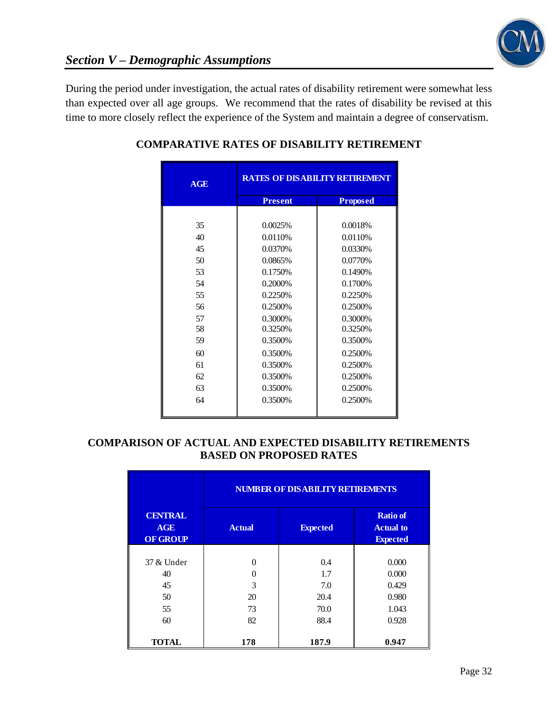

During the period under investigation, the actual rates of disability retirement were somewhat less than expected over all age groups. We recommend that the rates of disability be revised at this time to more closely reflect the experience of the System and maintain a degree of conservatism.

| AGE | <b>RATES OF DISABILITY RETIREMENT</b> |                 |  |
|-----|---------------------------------------|-----------------|--|
|     | <b>Present</b>                        | <b>Proposed</b> |  |
|     |                                       |                 |  |
| 35  | 0.0025%                               | 0.0018%         |  |
| 40  | 0.0110%                               | 0.0110%         |  |
| 45  | 0.0370%                               | 0.0330%         |  |
| 50  | 0.0865%                               | 0.0770%         |  |
| 53  | 0.1750%                               | 0.1490%         |  |
| 54  | 0.2000%                               | 0.1700%         |  |
| 55  | 0.2250%                               | 0.2250\%        |  |
| 56  | 0.2500%                               | 0.2500%         |  |
| 57  | 0.3000%                               | 0.3000%         |  |
| 58  | 0.3250%                               | 0.3250%         |  |
| 59  | 0.3500%                               | 0.3500%         |  |
| 60  | 0.3500%                               | 0.2500%         |  |
| 61  | 0.3500%                               | 0.2500%         |  |
| 62  | 0.3500%                               | 0.2500%         |  |
| 63  | 0.3500%                               | 0.2500%         |  |
| 64  | 0.3500%                               | 0.2500%         |  |
|     |                                       |                 |  |

# **COMPARATIVE RATES OF DISABILITY RETIREMENT**

### **COMPARISON OF ACTUAL AND EXPECTED DISABILITY RETIREMENTS BASED ON PROPOSED RATES**

|                                                 | <b>NUMBER OF DISABILITY RETIREMENTS</b> |                 |                                                        |
|-------------------------------------------------|-----------------------------------------|-----------------|--------------------------------------------------------|
| <b>CENTRAL</b><br><b>AGE</b><br><b>OF GROUP</b> | <b>Actual</b>                           | <b>Expected</b> | <b>Ratio</b> of<br><b>Actual to</b><br><b>Expected</b> |
|                                                 |                                         |                 |                                                        |
| 37 & Under                                      | $\Omega$                                | 0.4             | 0.000                                                  |
| 40                                              | ∩                                       | 1.7             | 0.000                                                  |
| 45                                              | 3                                       | 7.0             | 0.429                                                  |
| 50                                              | 20                                      | 20.4            | 0.980                                                  |
| 55                                              | 73                                      | 70.0            | 1.043                                                  |
| 60                                              | 82                                      | 88.4            | 0.928                                                  |
| <b>TOTAL</b>                                    | 178                                     | 187.9           | 0.947                                                  |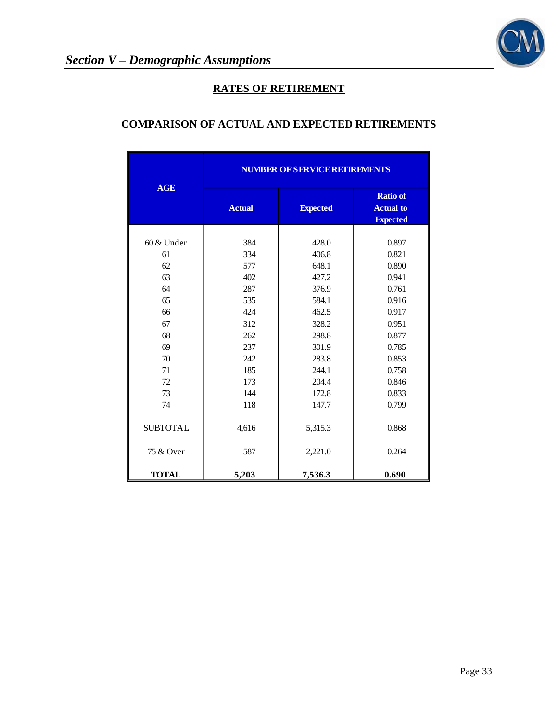

# **RATES OF RETIREMENT**

# **COMPARISON OF ACTUAL AND EXPECTED RETIREMENTS**

|                 | <b>NUMBER OF SERVICE RETIREMENTS</b> |                 |                                                        |  |
|-----------------|--------------------------------------|-----------------|--------------------------------------------------------|--|
| <b>AGE</b>      | <b>Actual</b>                        | <b>Expected</b> | <b>Ratio of</b><br><b>Actual to</b><br><b>Expected</b> |  |
|                 |                                      |                 |                                                        |  |
| $60 \&$ Under   | 384                                  | 428.0           | 0.897                                                  |  |
| 61              | 334                                  | 406.8           | 0.821                                                  |  |
| 62              | 577                                  | 648.1           | 0.890                                                  |  |
| 63              | 402                                  | 427.2           | 0.941                                                  |  |
| 64              | 287                                  | 376.9           | 0.761                                                  |  |
| 65              | 535                                  | 584.1           | 0.916                                                  |  |
| 66              | 424                                  | 462.5           | 0.917                                                  |  |
| 67              | 312                                  | 328.2           | 0.951                                                  |  |
| 68              | 262                                  | 298.8           | 0.877                                                  |  |
| 69              | 237                                  | 301.9           | 0.785                                                  |  |
| 70              | 242                                  | 283.8           | 0.853                                                  |  |
| 71              | 185                                  | 244.1           | 0.758                                                  |  |
| 72              | 173                                  | 204.4           | 0.846                                                  |  |
| 73              | 144                                  | 172.8           | 0.833                                                  |  |
| 74              | 118                                  | 147.7           | 0.799                                                  |  |
| <b>SUBTOTAL</b> | 4,616                                | 5,315.3         | 0.868                                                  |  |
| 75 & Over       | 587                                  | 2,221.0         | 0.264                                                  |  |
| <b>TOTAL</b>    | 5,203                                | 7,536.3         | 0.690                                                  |  |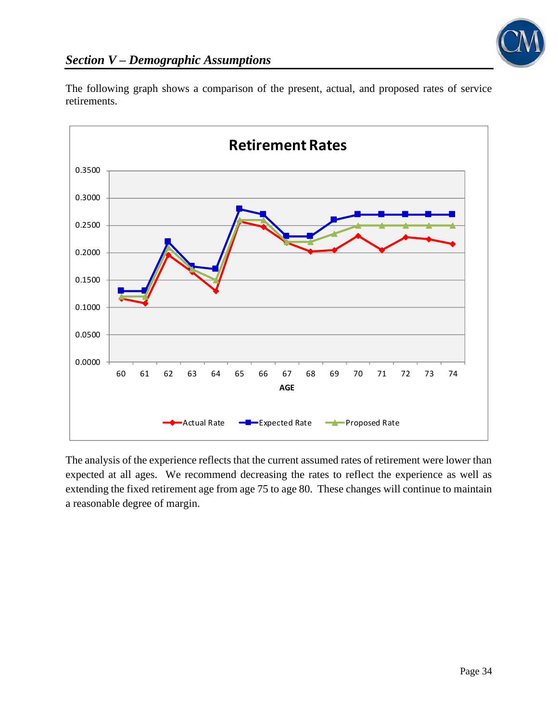

The following graph shows a comparison of the present, actual, and proposed rates of service retirements.



The analysis of the experience reflects that the current assumed rates of retirement were lower than expected at all ages. We recommend decreasing the rates to reflect the experience as well as extending the fixed retirement age from age 75 to age 80. These changes will continue to maintain a reasonable degree of margin.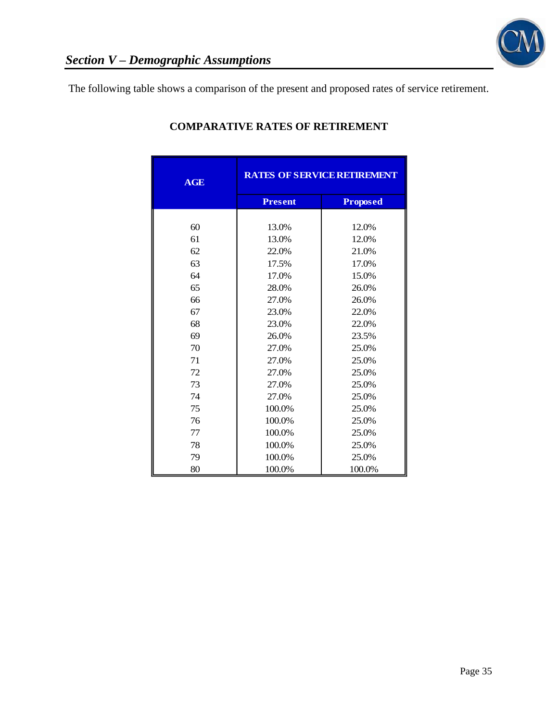

The following table shows a comparison of the present and proposed rates of service retirement.

| <b>AGE</b> | <b>RATES OF SERVICE RETIREMENT</b> |                 |  |
|------------|------------------------------------|-----------------|--|
|            | <b>Present</b>                     | <b>Proposed</b> |  |
|            |                                    |                 |  |
| 60         | 13.0%                              | 12.0%           |  |
| 61         | 13.0%                              | 12.0%           |  |
| 62         | 22.0%                              | 21.0%           |  |
| 63         | 17.5%                              | 17.0%           |  |
| 64         | 17.0%                              | 15.0%           |  |
| 65         | 28.0%                              | 26.0%           |  |
| 66         | 27.0%                              | 26.0%           |  |
| 67         | 23.0%                              | 22.0%           |  |
| 68         | 23.0%                              | 22.0%           |  |
| 69         | 26.0%                              | 23.5%           |  |
| 70         | 27.0%                              | 25.0%           |  |
| 71         | 27.0%                              | 25.0%           |  |
| 72         | 27.0%                              | 25.0%           |  |
| 73         | 27.0%                              | 25.0%           |  |
| 74         | 27.0%                              | 25.0%           |  |
| 75         | 100.0%                             | 25.0%           |  |
| 76         | 100.0%                             | 25.0%           |  |
| 77         | 100.0%                             | 25.0%           |  |
| 78         | 100.0%                             | 25.0%           |  |
| 79         | 100.0%                             | 25.0%           |  |
| 80         | 100.0%                             | 100.0%          |  |

# **COMPARATIVE RATES OF RETIREMENT**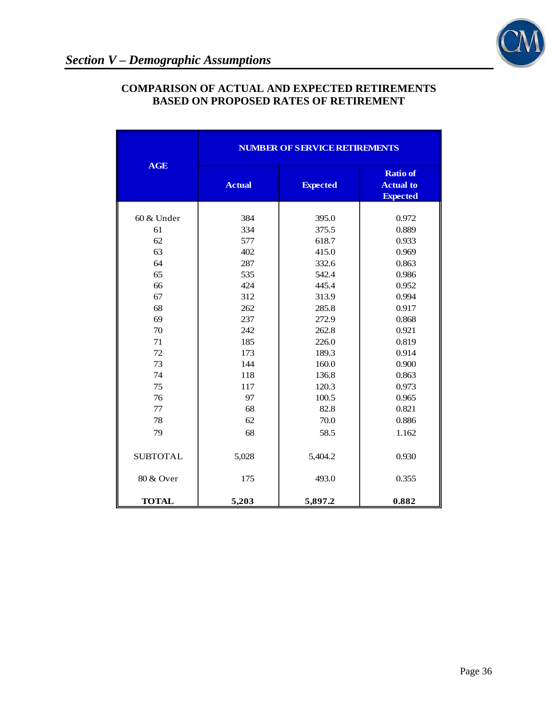

|                 | <b>NUMBER OF SERVICE RETIREMENTS</b> |                 |                                                        |
|-----------------|--------------------------------------|-----------------|--------------------------------------------------------|
| <b>AGE</b>      | <b>Actual</b>                        | <b>Expected</b> | <b>Ratio of</b><br><b>Actual to</b><br><b>Expected</b> |
| 60 & Under      | 384                                  | 395.0           | 0.972                                                  |
| 61              | 334                                  | 375.5           | 0.889                                                  |
| 62              | 577                                  | 618.7           | 0.933                                                  |
| 63              | 402                                  | 415.0           | 0.969                                                  |
| 64              | 287                                  | 332.6           | 0.863                                                  |
| 65              | 535                                  | 542.4           | 0.986                                                  |
| 66              | 424                                  | 445.4           | 0.952                                                  |
| 67              | 312                                  | 313.9           | 0.994                                                  |
| 68              | 262                                  | 285.8           | 0.917                                                  |
| 69              | 237                                  | 272.9           | 0.868                                                  |
| 70              | 242                                  | 262.8           | 0.921                                                  |
| 71              | 185                                  | 226.0           | 0.819                                                  |
| 72              | 173                                  | 189.3           | 0.914                                                  |
| 73              | 144                                  | 160.0           | 0.900                                                  |
| 74              | 118                                  | 136.8           | 0.863                                                  |
| 75              | 117                                  | 120.3           | 0.973                                                  |
| 76              | 97                                   | 100.5           | 0.965                                                  |
| 77              | 68                                   | 82.8            | 0.821                                                  |
| 78              | 62                                   | 70.0            | 0.886                                                  |
|                 |                                      |                 |                                                        |
| 79              | 68                                   | 58.5            | 1.162                                                  |
| <b>SUBTOTAL</b> | 5,028                                | 5,404.2         | 0.930                                                  |
| 80 & Over       | 175                                  | 493.0           | 0.355                                                  |
| <b>TOTAL</b>    | 5,203                                | 5,897.2         | 0.882                                                  |

### **COMPARISON OF ACTUAL AND EXPECTED RETIREMENTS BASED ON PROPOSED RATES OF RETIREMENT**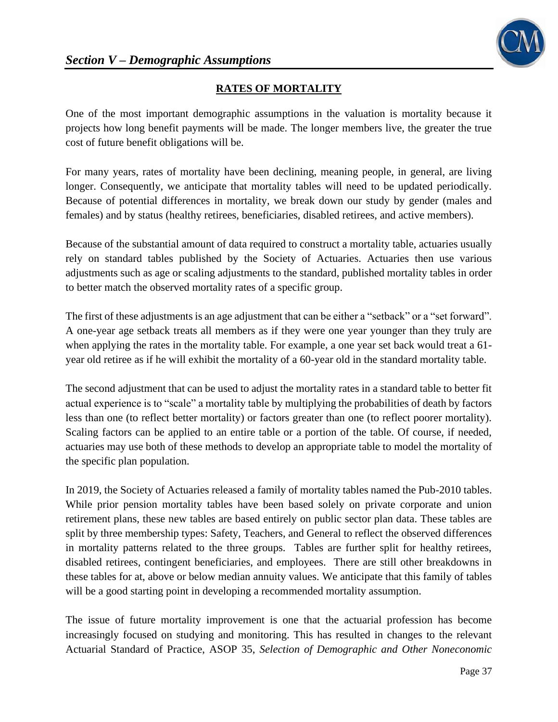

# **RATES OF MORTALITY**

One of the most important demographic assumptions in the valuation is mortality because it projects how long benefit payments will be made. The longer members live, the greater the true cost of future benefit obligations will be.

For many years, rates of mortality have been declining, meaning people, in general, are living longer. Consequently, we anticipate that mortality tables will need to be updated periodically. Because of potential differences in mortality, we break down our study by gender (males and females) and by status (healthy retirees, beneficiaries, disabled retirees, and active members).

Because of the substantial amount of data required to construct a mortality table, actuaries usually rely on standard tables published by the Society of Actuaries. Actuaries then use various adjustments such as age or scaling adjustments to the standard, published mortality tables in order to better match the observed mortality rates of a specific group.

The first of these adjustments is an age adjustment that can be either a "setback" or a "set forward". A one-year age setback treats all members as if they were one year younger than they truly are when applying the rates in the mortality table. For example, a one year set back would treat a 61 year old retiree as if he will exhibit the mortality of a 60-year old in the standard mortality table.

The second adjustment that can be used to adjust the mortality rates in a standard table to better fit actual experience is to "scale" a mortality table by multiplying the probabilities of death by factors less than one (to reflect better mortality) or factors greater than one (to reflect poorer mortality). Scaling factors can be applied to an entire table or a portion of the table. Of course, if needed, actuaries may use both of these methods to develop an appropriate table to model the mortality of the specific plan population.

In 2019, the Society of Actuaries released a family of mortality tables named the Pub-2010 tables. While prior pension mortality tables have been based solely on private corporate and union retirement plans, these new tables are based entirely on public sector plan data. These tables are split by three membership types: Safety, Teachers, and General to reflect the observed differences in mortality patterns related to the three groups. Tables are further split for healthy retirees, disabled retirees, contingent beneficiaries, and employees. There are still other breakdowns in these tables for at, above or below median annuity values. We anticipate that this family of tables will be a good starting point in developing a recommended mortality assumption.

The issue of future mortality improvement is one that the actuarial profession has become increasingly focused on studying and monitoring. This has resulted in changes to the relevant Actuarial Standard of Practice, ASOP 35, *Selection of Demographic and Other Noneconomic*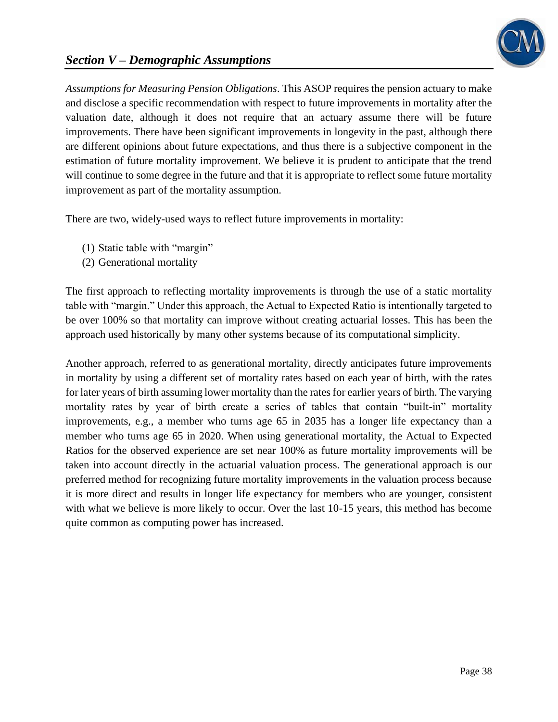

# *Section V – Demographic Assumptions*

*Assumptions for Measuring Pension Obligations*. This ASOP requires the pension actuary to make and disclose a specific recommendation with respect to future improvements in mortality after the valuation date, although it does not require that an actuary assume there will be future improvements. There have been significant improvements in longevity in the past, although there are different opinions about future expectations, and thus there is a subjective component in the estimation of future mortality improvement. We believe it is prudent to anticipate that the trend will continue to some degree in the future and that it is appropriate to reflect some future mortality improvement as part of the mortality assumption.

There are two, widely-used ways to reflect future improvements in mortality:

- (1) Static table with "margin"
- (2) Generational mortality

The first approach to reflecting mortality improvements is through the use of a static mortality table with "margin." Under this approach, the Actual to Expected Ratio is intentionally targeted to be over 100% so that mortality can improve without creating actuarial losses. This has been the approach used historically by many other systems because of its computational simplicity.

Another approach, referred to as generational mortality, directly anticipates future improvements in mortality by using a different set of mortality rates based on each year of birth, with the rates for later years of birth assuming lower mortality than the rates for earlier years of birth. The varying mortality rates by year of birth create a series of tables that contain "built-in" mortality improvements, e.g., a member who turns age 65 in 2035 has a longer life expectancy than a member who turns age 65 in 2020. When using generational mortality, the Actual to Expected Ratios for the observed experience are set near 100% as future mortality improvements will be taken into account directly in the actuarial valuation process. The generational approach is our preferred method for recognizing future mortality improvements in the valuation process because it is more direct and results in longer life expectancy for members who are younger, consistent with what we believe is more likely to occur. Over the last 10-15 years, this method has become quite common as computing power has increased.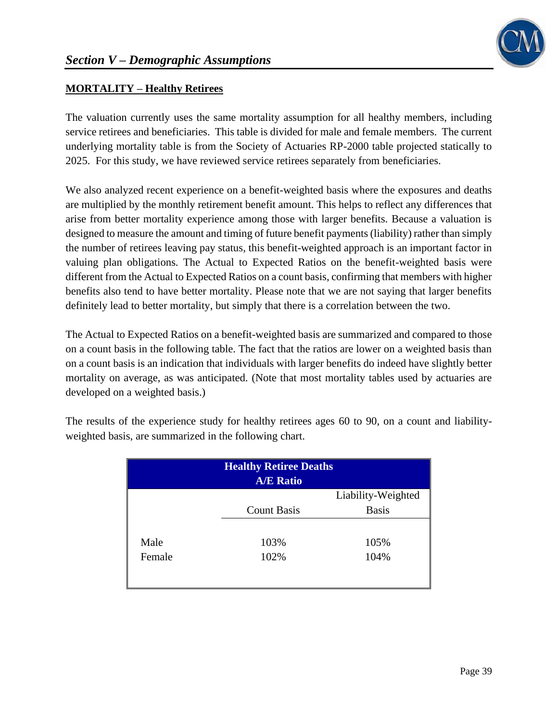# **MORTALITY – Healthy Retirees**

The valuation currently uses the same mortality assumption for all healthy members, including service retirees and beneficiaries. This table is divided for male and female members. The current underlying mortality table is from the Society of Actuaries RP-2000 table projected statically to 2025. For this study, we have reviewed service retirees separately from beneficiaries.

We also analyzed recent experience on a benefit-weighted basis where the exposures and deaths are multiplied by the monthly retirement benefit amount. This helps to reflect any differences that arise from better mortality experience among those with larger benefits. Because a valuation is designed to measure the amount and timing of future benefit payments (liability) rather than simply the number of retirees leaving pay status, this benefit-weighted approach is an important factor in valuing plan obligations. The Actual to Expected Ratios on the benefit-weighted basis were different from the Actual to Expected Ratios on a count basis, confirming that members with higher benefits also tend to have better mortality. Please note that we are not saying that larger benefits definitely lead to better mortality, but simply that there is a correlation between the two.

The Actual to Expected Ratios on a benefit-weighted basis are summarized and compared to those on a count basis in the following table. The fact that the ratios are lower on a weighted basis than on a count basis is an indication that individuals with larger benefits do indeed have slightly better mortality on average, as was anticipated. (Note that most mortality tables used by actuaries are developed on a weighted basis.)

|        | <b>Healthy Retiree Deaths</b><br><b>A/E Ratio</b> |                    |
|--------|---------------------------------------------------|--------------------|
|        |                                                   | Liability-Weighted |
|        | <b>Count Basis</b>                                | <b>Basis</b>       |
|        |                                                   |                    |
| Male   | 103%                                              | 105%               |
| Female | 102%                                              | 104%               |
|        |                                                   |                    |

The results of the experience study for healthy retirees ages 60 to 90, on a count and liabilityweighted basis, are summarized in the following chart.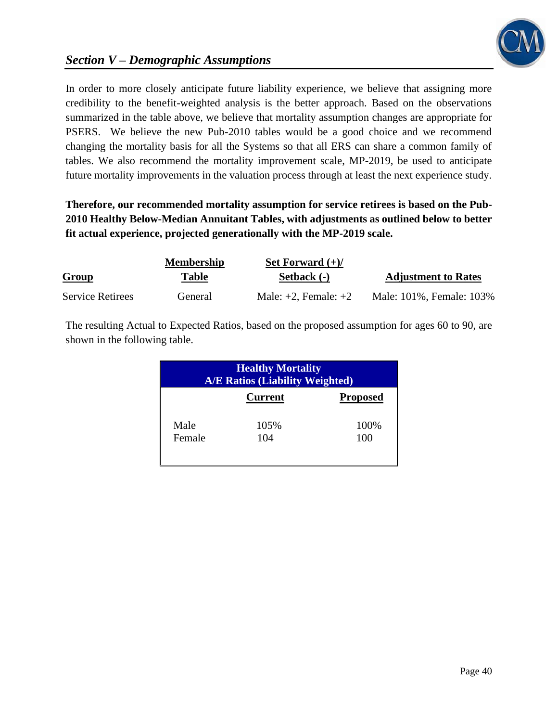

# *Section V – Demographic Assumptions*

In order to more closely anticipate future liability experience, we believe that assigning more credibility to the benefit-weighted analysis is the better approach. Based on the observations summarized in the table above, we believe that mortality assumption changes are appropriate for PSERS. We believe the new Pub-2010 tables would be a good choice and we recommend changing the mortality basis for all the Systems so that all ERS can share a common family of tables. We also recommend the mortality improvement scale, MP-2019, be used to anticipate future mortality improvements in the valuation process through at least the next experience study.

**Therefore, our recommended mortality assumption for service retirees is based on the Pub-2010 Healthy Below-Median Annuitant Tables, with adjustments as outlined below to better fit actual experience, projected generationally with the MP-2019 scale.**

|                         | <b>Membership</b> | Set Forward $(+)/$        |                            |
|-------------------------|-------------------|---------------------------|----------------------------|
| Group                   | Table             | Setback (-)               | <b>Adjustment to Rates</b> |
| <b>Service Retirees</b> | General           | Male: $+2$ , Female: $+2$ | Male: 101%, Female: 103%   |

The resulting Actual to Expected Ratios, based on the proposed assumption for ages 60 to 90, are shown in the following table.

| <b>Healthy Mortality</b><br><b>A/E Ratios (Liability Weighted)</b> |                |                 |
|--------------------------------------------------------------------|----------------|-----------------|
|                                                                    | <b>Current</b> | <b>Proposed</b> |
| Male                                                               | 105%           | 100%            |
| Female                                                             | 104            | 100             |
|                                                                    |                |                 |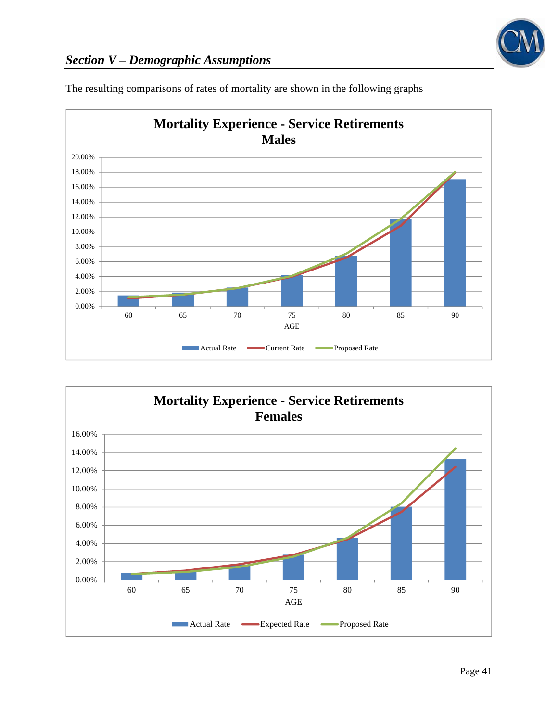



The resulting comparisons of rates of mortality are shown in the following graphs

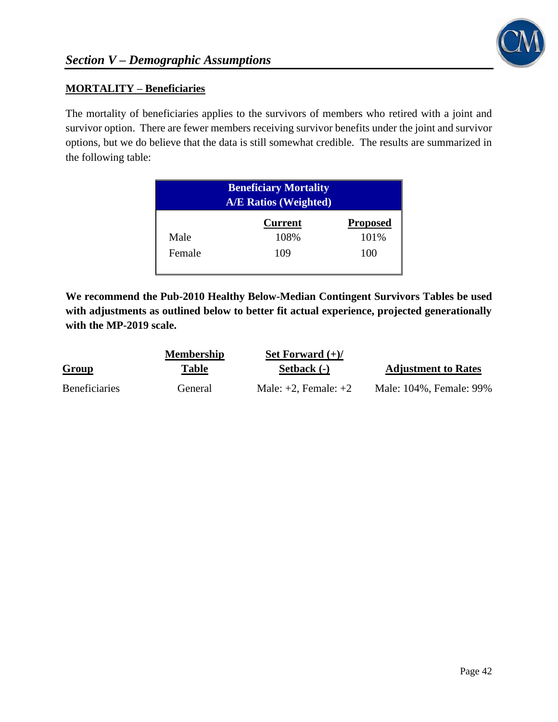

## **MORTALITY – Beneficiaries**

The mortality of beneficiaries applies to the survivors of members who retired with a joint and survivor option. There are fewer members receiving survivor benefits under the joint and survivor options, but we do believe that the data is still somewhat credible. The results are summarized in the following table:

| <b>Beneficiary Mortality</b><br><b>A/E Ratios (Weighted)</b> |                |                 |
|--------------------------------------------------------------|----------------|-----------------|
|                                                              | <b>Current</b> | <b>Proposed</b> |
| Male                                                         | 108%           | 101%            |
| Female                                                       | 109            | 100             |

**We recommend the Pub-2010 Healthy Below-Median Contingent Survivors Tables be used with adjustments as outlined below to better fit actual experience, projected generationally with the MP-2019 scale.**

|                      | <b>Membership</b> | Set Forward $(+)/$        |                            |
|----------------------|-------------------|---------------------------|----------------------------|
| <b>Group</b>         | Table             | Setback (-)               | <b>Adjustment to Rates</b> |
| <b>Beneficiaries</b> | General           | Male: $+2$ , Female: $+2$ | Male: 104%, Female: 99%    |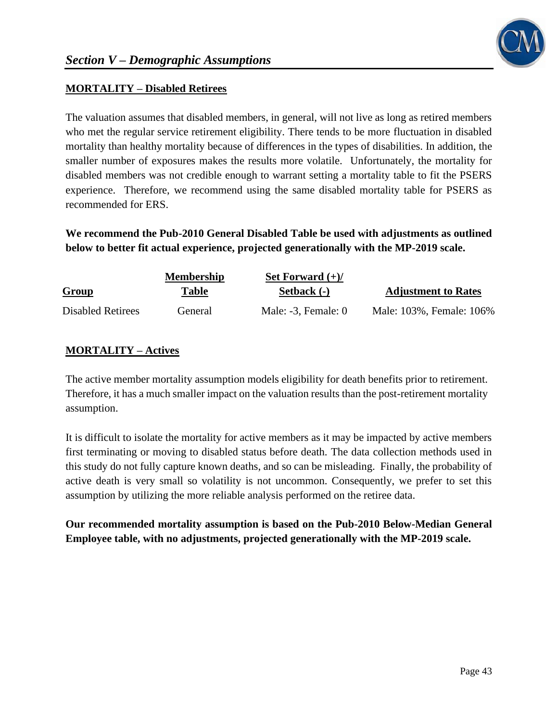

## **MORTALITY – Disabled Retirees**

The valuation assumes that disabled members, in general, will not live as long as retired members who met the regular service retirement eligibility. There tends to be more fluctuation in disabled mortality than healthy mortality because of differences in the types of disabilities. In addition, the smaller number of exposures makes the results more volatile. Unfortunately, the mortality for disabled members was not credible enough to warrant setting a mortality table to fit the PSERS experience. Therefore, we recommend using the same disabled mortality table for PSERS as recommended for ERS.

**We recommend the Pub-2010 General Disabled Table be used with adjustments as outlined below to better fit actual experience, projected generationally with the MP-2019 scale.**

|                          | <b>Membership</b> | Set Forward $(+)/$     |                            |
|--------------------------|-------------------|------------------------|----------------------------|
| Group                    | Table             | Setback (-)            | <b>Adjustment to Rates</b> |
| <b>Disabled Retirees</b> | General           | Male: $-3$ , Female: 0 | Male: 103%, Female: 106%   |

## **MORTALITY – Actives**

The active member mortality assumption models eligibility for death benefits prior to retirement. Therefore, it has a much smaller impact on the valuation results than the post-retirement mortality assumption.

It is difficult to isolate the mortality for active members as it may be impacted by active members first terminating or moving to disabled status before death. The data collection methods used in this study do not fully capture known deaths, and so can be misleading. Finally, the probability of active death is very small so volatility is not uncommon. Consequently, we prefer to set this assumption by utilizing the more reliable analysis performed on the retiree data.

**Our recommended mortality assumption is based on the Pub-2010 Below-Median General Employee table, with no adjustments, projected generationally with the MP-2019 scale.**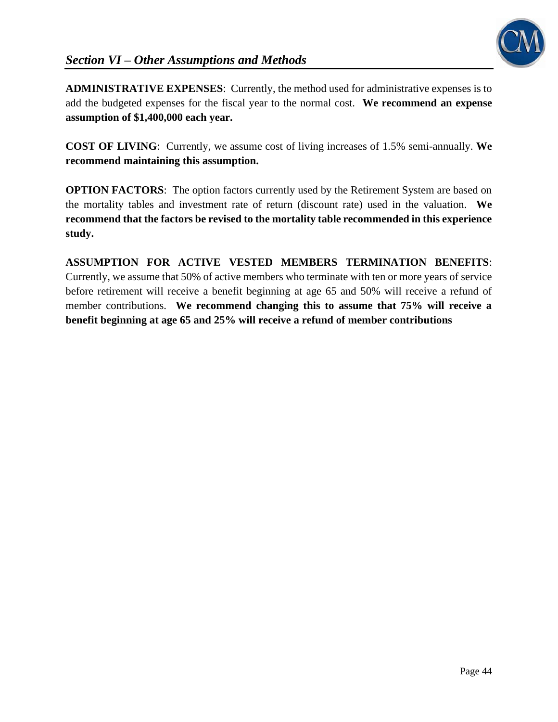

**ADMINISTRATIVE EXPENSES**: Currently, the method used for administrative expenses is to add the budgeted expenses for the fiscal year to the normal cost. **We recommend an expense assumption of \$1,400,000 each year.**

**COST OF LIVING**: Currently, we assume cost of living increases of 1.5% semi-annually. **We recommend maintaining this assumption.**

**OPTION FACTORS:** The option factors currently used by the Retirement System are based on the mortality tables and investment rate of return (discount rate) used in the valuation. **We recommend that the factors be revised to the mortality table recommended in this experience study.**

**ASSUMPTION FOR ACTIVE VESTED MEMBERS TERMINATION BENEFITS**: Currently, we assume that 50% of active members who terminate with ten or more years of service before retirement will receive a benefit beginning at age 65 and 50% will receive a refund of member contributions. **We recommend changing this to assume that 75% will receive a benefit beginning at age 65 and 25% will receive a refund of member contributions**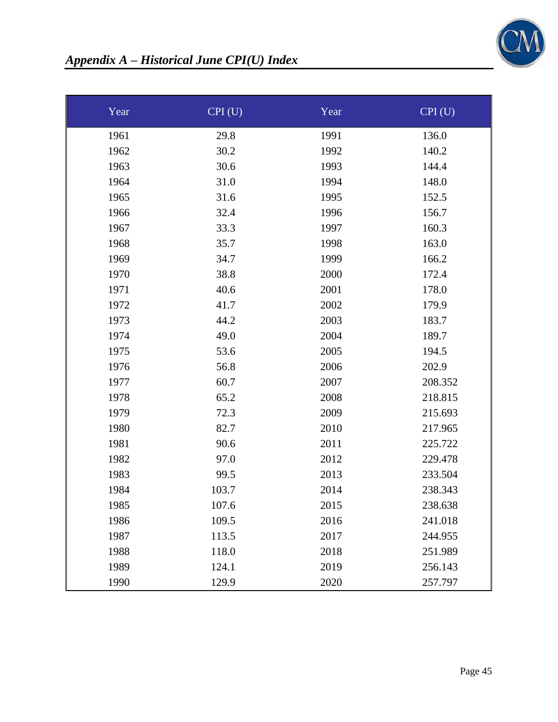

| Year | CPI(U) | Year | CPI(U)  |
|------|--------|------|---------|
| 1961 | 29.8   | 1991 | 136.0   |
| 1962 | 30.2   | 1992 | 140.2   |
| 1963 | 30.6   | 1993 | 144.4   |
| 1964 | 31.0   | 1994 | 148.0   |
| 1965 | 31.6   | 1995 | 152.5   |
| 1966 | 32.4   | 1996 | 156.7   |
| 1967 | 33.3   | 1997 | 160.3   |
| 1968 | 35.7   | 1998 | 163.0   |
| 1969 | 34.7   | 1999 | 166.2   |
| 1970 | 38.8   | 2000 | 172.4   |
| 1971 | 40.6   | 2001 | 178.0   |
| 1972 | 41.7   | 2002 | 179.9   |
| 1973 | 44.2   | 2003 | 183.7   |
| 1974 | 49.0   | 2004 | 189.7   |
| 1975 | 53.6   | 2005 | 194.5   |
| 1976 | 56.8   | 2006 | 202.9   |
| 1977 | 60.7   | 2007 | 208.352 |
| 1978 | 65.2   | 2008 | 218.815 |
| 1979 | 72.3   | 2009 | 215.693 |
| 1980 | 82.7   | 2010 | 217.965 |
| 1981 | 90.6   | 2011 | 225.722 |
| 1982 | 97.0   | 2012 | 229.478 |
| 1983 | 99.5   | 2013 | 233.504 |
| 1984 | 103.7  | 2014 | 238.343 |
| 1985 | 107.6  | 2015 | 238.638 |
| 1986 | 109.5  | 2016 | 241.018 |
| 1987 | 113.5  | 2017 | 244.955 |
| 1988 | 118.0  | 2018 | 251.989 |
| 1989 | 124.1  | 2019 | 256.143 |
| 1990 | 129.9  | 2020 | 257.797 |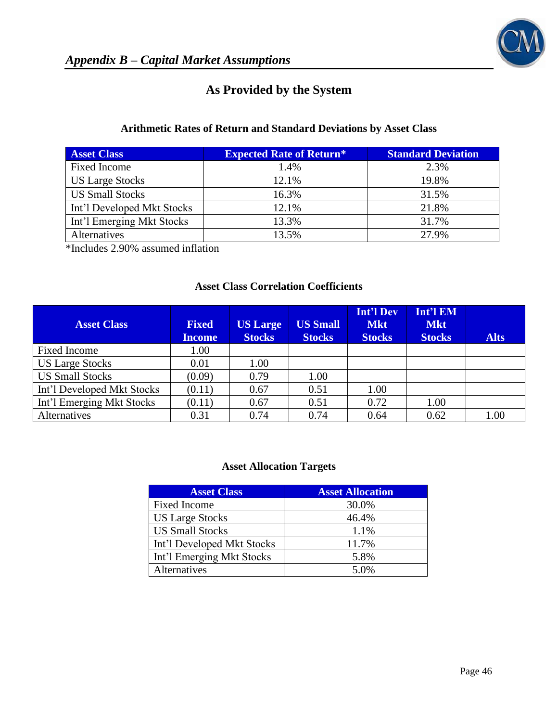

# **As Provided by the System**

## **Arithmetic Rates of Return and Standard Deviations by Asset Class**

| <b>Asset Class</b>         | <b>Expected Rate of Return*</b> | <b>Standard Deviation</b> |
|----------------------------|---------------------------------|---------------------------|
| Fixed Income               | 1.4%                            | 2.3%                      |
| <b>US Large Stocks</b>     | 12.1%                           | 19.8%                     |
| <b>US Small Stocks</b>     | 16.3%                           | 31.5%                     |
| Int'l Developed Mkt Stocks | 12.1%                           | 21.8%                     |
| Int'l Emerging Mkt Stocks  | 13.3%                           | 31.7%                     |
| Alternatives               | 13.5%                           | 27.9%                     |

\*Includes 2.90% assumed inflation

### **Asset Class Correlation Coefficients**

| <b>Asset Class</b>         | <b>Fixed</b><br><b>Income</b> | <b>US Large</b><br><b>Stocks</b> | <b>US Small</b><br><b>Stocks</b> | Int'l Dev<br><b>Mkt</b><br><b>Stocks</b> | Int'l EM<br><b>Mkt</b><br><b>Stocks</b> | <b>Alts</b> |
|----------------------------|-------------------------------|----------------------------------|----------------------------------|------------------------------------------|-----------------------------------------|-------------|
| <b>Fixed Income</b>        | 1.00                          |                                  |                                  |                                          |                                         |             |
| <b>US Large Stocks</b>     | 0.01                          | 1.00                             |                                  |                                          |                                         |             |
| <b>US Small Stocks</b>     | (0.09)                        | 0.79                             | 1.00                             |                                          |                                         |             |
| Int'l Developed Mkt Stocks | (0.11)                        | 0.67                             | 0.51                             | 1.00                                     |                                         |             |
| Int'l Emerging Mkt Stocks  | (0.11)                        | 0.67                             | 0.51                             | 0.72                                     | 1.00                                    |             |
| Alternatives               | 0.31                          | 0.74                             | 0.74                             | 0.64                                     | 0.62                                    | 1.00        |

### **Asset Allocation Targets**

| <b>Asset Class</b>         | <b>Asset Allocation</b> |
|----------------------------|-------------------------|
| Fixed Income               | 30.0%                   |
| <b>US Large Stocks</b>     | 46.4%                   |
| <b>US Small Stocks</b>     | 1.1%                    |
| Int'l Developed Mkt Stocks | 11.7%                   |
| Int'l Emerging Mkt Stocks  | 5.8%                    |
| Alternatives               | 5.0%                    |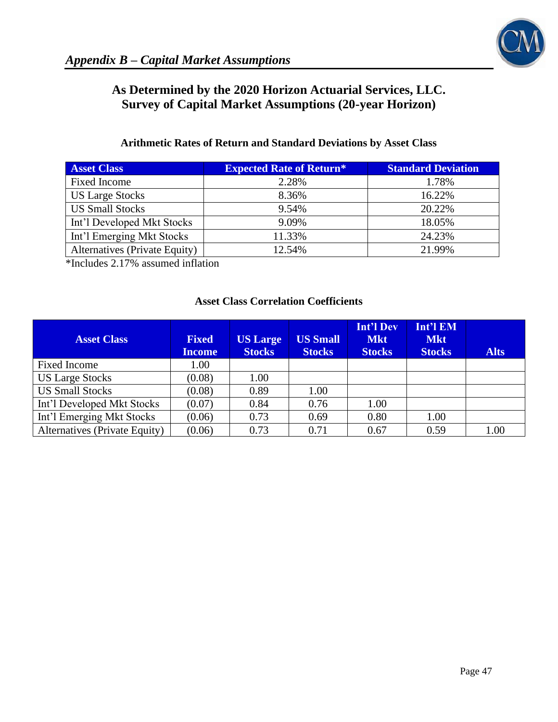# **As Determined by the 2020 Horizon Actuarial Services, LLC. Survey of Capital Market Assumptions (20-year Horizon)**

# **Arithmetic Rates of Return and Standard Deviations by Asset Class**

| <b>Asset Class</b>            | <b>Expected Rate of Return*</b> | <b>Standard Deviation</b> |
|-------------------------------|---------------------------------|---------------------------|
| Fixed Income                  | 2.28%                           | 1.78%                     |
| <b>US Large Stocks</b>        | 8.36%                           | 16.22%                    |
| <b>US Small Stocks</b>        | 9.54%                           | 20.22%                    |
| Int'l Developed Mkt Stocks    | 9.09%                           | 18.05%                    |
| Int'l Emerging Mkt Stocks     | 11.33%                          | 24.23%                    |
| Alternatives (Private Equity) | 12.54%                          | 21.99%                    |

\*Includes 2.17% assumed inflation

# **Asset Class Correlation Coefficients**

| <b>Asset Class</b>            | <b>Fixed</b><br><b>Income</b> | <b>US Large</b><br><b>Stocks</b> | <b>US Small</b><br><b>Stocks</b> | <b>Int'l Dev</b><br><b>Mkt</b><br><b>Stocks</b> | Int'l EM<br><b>Mkt</b><br><b>Stocks</b> | <b>Alts</b> |
|-------------------------------|-------------------------------|----------------------------------|----------------------------------|-------------------------------------------------|-----------------------------------------|-------------|
| <b>Fixed Income</b>           | 1.00                          |                                  |                                  |                                                 |                                         |             |
| <b>US Large Stocks</b>        | (0.08)                        | 1.00                             |                                  |                                                 |                                         |             |
| <b>US Small Stocks</b>        | (0.08)                        | 0.89                             | 1.00                             |                                                 |                                         |             |
| Int'l Developed Mkt Stocks    | (0.07)                        | 0.84                             | 0.76                             | 1.00                                            |                                         |             |
| Int'l Emerging Mkt Stocks     | (0.06)                        | 0.73                             | 0.69                             | 0.80                                            | 1.00                                    |             |
| Alternatives (Private Equity) | (0.06)                        | 0.73                             | 0.71                             | 0.67                                            | 0.59                                    | 1.00        |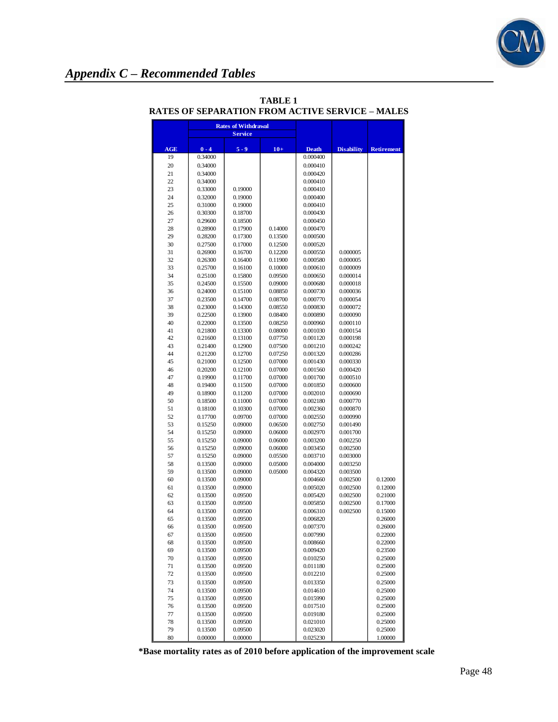

# *Appendix C – Recommended Tables*

|          | <b>Rates of Withdrawal</b><br><b>Service</b> |                    |                    |                      |                      |                    |
|----------|----------------------------------------------|--------------------|--------------------|----------------------|----------------------|--------------------|
|          |                                              |                    |                    |                      |                      |                    |
| AGE      | $0 - 4$                                      | $5 - 9$            | $10+$              | <b>Death</b>         | <b>Disability</b>    | <b>Retirement</b>  |
| 19       | 0.34000                                      |                    |                    | 0.000400             |                      |                    |
| 20<br>21 | 0.34000<br>0.34000                           |                    |                    | 0.000410<br>0.000420 |                      |                    |
| 22       | 0.34000                                      |                    |                    | 0.000410             |                      |                    |
| 23       | 0.33000                                      | 0.19000            |                    | 0.000410             |                      |                    |
| 24       | 0.32000                                      | 0.19000            |                    | 0.000400             |                      |                    |
| 25       | 0.31000                                      | 0.19000            |                    | 0.000410             |                      |                    |
| 26       | 0.30300                                      | 0.18700            |                    | 0.000430             |                      |                    |
| 27       | 0.29600                                      | 0.18500            |                    | 0.000450             |                      |                    |
| 28       | 0.28900                                      | 0.17900            | 0.14000            | 0.000470             |                      |                    |
| 29       | 0.28200                                      | 0.17300            | 0.13500            | 0.000500             |                      |                    |
| 30<br>31 | 0.27500<br>0.26900                           | 0.17000<br>0.16700 | 0.12500<br>0.12200 | 0.000520<br>0.000550 | 0.000005             |                    |
| 32       | 0.26300                                      | 0.16400            | 0.11900            | 0.000580             | 0.000005             |                    |
| 33       | 0.25700                                      | 0.16100            | 0.10000            | 0.000610             | 0.000009             |                    |
| 34       | 0.25100                                      | 0.15800            | 0.09500            | 0.000650             | 0.000014             |                    |
| 35       | 0.24500                                      | 0.15500            | 0.09000            | 0.000680             | 0.000018             |                    |
| 36       | 0.24000                                      | 0.15100            | 0.08850            | 0.000730             | 0.000036             |                    |
| 37       | 0.23500                                      | 0.14700            | 0.08700            | 0.000770             | 0.000054             |                    |
| 38       | 0.23000                                      | 0.14300            | 0.08550            | 0.000830             | 0.000072             |                    |
| 39       | 0.22500                                      | 0.13900            | 0.08400            | 0.000890             | 0.000090             |                    |
| 40       | 0.22000                                      | 0.13500            | 0.08250            | 0.000960             | 0.000110             |                    |
| 41<br>42 | 0.21800<br>0.21600                           | 0.13300<br>0.13100 | 0.08000<br>0.07750 | 0.001030<br>0.001120 | 0.000154<br>0.000198 |                    |
| 43       | 0.21400                                      | 0.12900            | 0.07500            | 0.001210             | 0.000242             |                    |
| 44       | 0.21200                                      | 0.12700            | 0.07250            | 0.001320             | 0.000286             |                    |
| 45       | 0.21000                                      | 0.12500            | 0.07000            | 0.001430             | 0.000330             |                    |
| 46       | 0.20200                                      | 0.12100            | 0.07000            | 0.001560             | 0.000420             |                    |
| 47       | 0.19900                                      | 0.11700            | 0.07000            | 0.001700             | 0.000510             |                    |
| 48       | 0.19400                                      | 0.11500            | 0.07000            | 0.001850             | 0.000600             |                    |
| 49       | 0.18900                                      | 0.11200            | 0.07000            | 0.002010             | 0.000690             |                    |
| 50       | 0.18500                                      | 0.11000            | 0.07000            | 0.002180             | 0.000770             |                    |
| 51       | 0.18100                                      | 0.10300            | 0.07000            | 0.002360             | 0.000870             |                    |
| 52<br>53 | 0.17700<br>0.15250                           | 0.09700<br>0.09000 | 0.07000<br>0.06500 | 0.002550<br>0.002750 | 0.000990<br>0.001490 |                    |
| 54       | 0.15250                                      | 0.09000            | 0.06000            | 0.002970             | 0.001700             |                    |
| 55       | 0.15250                                      | 0.09000            | 0.06000            | 0.003200             | 0.002250             |                    |
| 56       | 0.15250                                      | 0.09000            | 0.06000            | 0.003450             | 0.002500             |                    |
| 57       | 0.15250                                      | 0.09000            | 0.05500            | 0.003710             | 0.003000             |                    |
| 58       | 0.13500                                      | 0.09000            | 0.05000            | 0.004000             | 0.003250             |                    |
| 59       | 0.13500                                      | 0.09000            | 0.05000            | 0.004320             | 0.003500             |                    |
| 60       | 0.13500                                      | 0.09000            |                    | 0.004660             | 0.002500             | 0.12000            |
| 61       | 0.13500                                      | 0.09000            |                    | 0.005020             | 0.002500             | 0.12000            |
| 62<br>63 | 0.13500<br>0.13500                           | 0.09500<br>0.09500 |                    | 0.005420<br>0.005850 | 0.002500<br>0.002500 | 0.21000<br>0.17000 |
| 64       | 0.13500                                      | 0.09500            |                    | 0.006310             | 0.002500             | 0.15000            |
| 65       | 0.13500                                      | 0.09500            |                    | 0.006820             |                      | 0.26000            |
| 66       | 0.13500                                      | 0.09500            |                    | 0.007370             |                      | 0.26000            |
| 67       | 0.13500                                      | 0.09500            |                    | 0.007990             |                      | 0.22000            |
| 68       | 0.13500                                      | 0.09500            |                    | 0.008660             |                      | 0.22000            |
| 69       | 0.13500                                      | 0.09500            |                    | 0.009420             |                      | 0.23500            |
| 70       | 0.13500                                      | 0.09500            |                    | 0.010250             |                      | 0.25000            |
| 71<br>72 | 0.13500                                      | 0.09500<br>0.09500 |                    | 0.011180             |                      | 0.25000            |
|          | 0.13500                                      |                    |                    | 0.012210             |                      | 0.25000            |
| 73<br>74 | 0.13500<br>0.13500                           | 0.09500<br>0.09500 |                    | 0.013350<br>0.014610 |                      | 0.25000<br>0.25000 |
| 75       | 0.13500                                      | 0.09500            |                    | 0.015990             |                      | 0.25000            |
| 76       | 0.13500                                      | 0.09500            |                    | 0.017510             |                      | 0.25000            |
| 77       | 0.13500                                      | 0.09500            |                    | 0.019180             |                      | 0.25000            |
| 78       | 0.13500                                      | 0.09500            |                    | 0.021010             |                      | 0.25000            |
| 79       | 0.13500                                      | 0.09500            |                    | 0.023020             |                      | 0.25000            |
| 80       | 0.00000                                      | 0.00000            |                    | 0.025230             |                      | 1.00000            |

### **TABLE 1 RATES OF SEPARATION FROM ACTIVE SERVICE – MALES**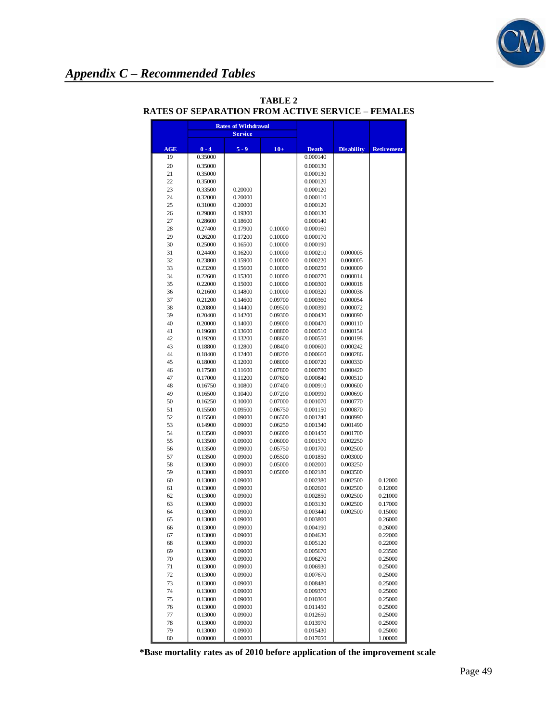

|          | <b>Rates of Withdrawal</b> |                    |                    |                      |                      |                   |
|----------|----------------------------|--------------------|--------------------|----------------------|----------------------|-------------------|
|          |                            | <b>Service</b>     |                    |                      |                      |                   |
| AGE      | $0 - 4$                    | $5 - 9$            | $10+$              | <b>Death</b>         | <b>Disability</b>    | <b>Retirement</b> |
| 19       | 0.35000                    |                    |                    | 0.000140             |                      |                   |
| 20       | 0.35000                    |                    |                    | 0.000130             |                      |                   |
| 21       | 0.35000                    |                    |                    | 0.000130             |                      |                   |
| 22       | 0.35000                    |                    |                    | 0.000120             |                      |                   |
| 23       | 0.33500                    | 0.20000            |                    | 0.000120             |                      |                   |
| 24       | 0.32000                    | 0.20000            |                    | 0.000110             |                      |                   |
| 25       | 0.31000                    | 0.20000            |                    | 0.000120             |                      |                   |
| 26       | 0.29800                    | 0.19300            |                    | 0.000130             |                      |                   |
| 27       | 0.28600                    | 0.18600            |                    | 0.000140             |                      |                   |
| 28       | 0.27400                    | 0.17900            | 0.10000            | 0.000160             |                      |                   |
| 29       | 0.26200                    | 0.17200            | 0.10000            | 0.000170             |                      |                   |
| 30       | 0.25000                    | 0.16500            | 0.10000            | 0.000190             |                      |                   |
| 31       | 0.24400                    | 0.16200            | 0.10000            | 0.000210             | 0.000005             |                   |
| 32       | 0.23800                    | 0.15900            | 0.10000            | 0.000220             | 0.000005             |                   |
| 33<br>34 | 0.23200                    | 0.15600            | 0.10000            | 0.000250             | 0.000009             |                   |
| 35       | 0.22600                    | 0.15300            | 0.10000            | 0.000270             | 0.000014             |                   |
| 36       | 0.22000<br>0.21600         | 0.15000<br>0.14800 | 0.10000<br>0.10000 | 0.000300<br>0.000320 | 0.000018<br>0.000036 |                   |
| 37       | 0.21200                    | 0.14600            | 0.09700            | 0.000360             | 0.000054             |                   |
| 38       | 0.20800                    | 0.14400            | 0.09500            | 0.000390             | 0.000072             |                   |
| 39       | 0.20400                    | 0.14200            | 0.09300            | 0.000430             | 0.000090             |                   |
| 40       | 0.20000                    | 0.14000            | 0.09000            | 0.000470             | 0.000110             |                   |
| 41       | 0.19600                    | 0.13600            | 0.08800            | 0.000510             | 0.000154             |                   |
| 42       | 0.19200                    | 0.13200            | 0.08600            | 0.000550             | 0.000198             |                   |
| 43       | 0.18800                    | 0.12800            | 0.08400            | 0.000600             | 0.000242             |                   |
| 44       | 0.18400                    | 0.12400            | 0.08200            | 0.000660             | 0.000286             |                   |
| 45       | 0.18000                    | 0.12000            | 0.08000            | 0.000720             | 0.000330             |                   |
| 46       | 0.17500                    | 0.11600            | 0.07800            | 0.000780             | 0.000420             |                   |
| 47       | 0.17000                    | 0.11200            | 0.07600            | 0.000840             | 0.000510             |                   |
| 48       | 0.16750                    | 0.10800            | 0.07400            | 0.000910             | 0.000600             |                   |
| 49       | 0.16500                    | 0.10400            | 0.07200            | 0.000990             | 0.000690             |                   |
| 50       | 0.16250                    | 0.10000            | 0.07000            | 0.001070             | 0.000770             |                   |
| 51       | 0.15500                    | 0.09500            | 0.06750            | 0.001150             | 0.000870             |                   |
| 52       | 0.15500                    | 0.09000            | 0.06500            | 0.001240             | 0.000990             |                   |
| 53       | 0.14900                    | 0.09000            | 0.06250            | 0.001340             | 0.001490             |                   |
| 54       | 0.13500                    | 0.09000            | 0.06000            | 0.001450             | 0.001700             |                   |
| 55       | 0.13500                    | 0.09000            | 0.06000            | 0.001570             | 0.002250             |                   |
| 56       | 0.13500                    | 0.09000            | 0.05750            | 0.001700             | 0.002500             |                   |
| 57       | 0.13500                    | 0.09000            | 0.05500            | 0.001850             | 0.003000             |                   |
| 58       | 0.13000                    | 0.09000            | 0.05000            | 0.002000             | 0.003250             |                   |
| 59<br>60 | 0.13000<br>0.13000         | 0.09000<br>0.09000 | 0.05000            | 0.002180<br>0.002380 | 0.003500<br>0.002500 | 0.12000           |
| 61       | 0.13000                    | 0.09000            |                    | 0.002600             | 0.002500             | 0.12000           |
| 62       | 0.13000                    | 0.09000            |                    | 0.002850             | 0.002500             | 0.21000           |
| 63       | 0.13000                    | 0.09000            |                    | 0.003130             | 0.002500             | 0.17000           |
| 64       | 0.13000                    | 0.09000            |                    | 0.003440             | 0.002500             | 0.15000           |
| 65       | 0.13000                    | 0.09000            |                    | 0.003800             |                      | 0.26000           |
| 66       | 0.13000                    | 0.09000            |                    | 0.004190             |                      | 0.26000           |
| 67       | 0.13000                    | 0.09000            |                    | 0.004630             |                      | 0.22000           |
| 68       | 0.13000                    | 0.09000            |                    | 0.005120             |                      | 0.22000           |
| 69       | 0.13000                    | 0.09000            |                    | 0.005670             |                      | 0.23500           |
| 70       | 0.13000                    | 0.09000            |                    | 0.006270             |                      | 0.25000           |
| 71       | 0.13000                    | 0.09000            |                    | 0.006930             |                      | 0.25000           |
| 72       | 0.13000                    | 0.09000            |                    | 0.007670             |                      | 0.25000           |
| 73       | 0.13000                    | 0.09000            |                    | 0.008480             |                      | 0.25000           |
| 74       | 0.13000                    | 0.09000            |                    | 0.009370             |                      | 0.25000           |
| 75       | 0.13000                    | 0.09000            |                    | 0.010360             |                      | 0.25000           |
| 76       | 0.13000                    | 0.09000            |                    | 0.011450             |                      | 0.25000           |
| 77       | 0.13000                    | 0.09000            |                    | 0.012650             |                      | 0.25000           |
| 78       | 0.13000                    | 0.09000            |                    | 0.013970             |                      | 0.25000           |
| 79       | 0.13000                    | 0.09000            |                    | 0.015430             |                      | 0.25000           |
| 80       | 0.00000                    | 0.00000            |                    | 0.017050             |                      | 1.00000           |

### **TABLE 2 RATES OF SEPARATION FROM ACTIVE SERVICE – FEMALES**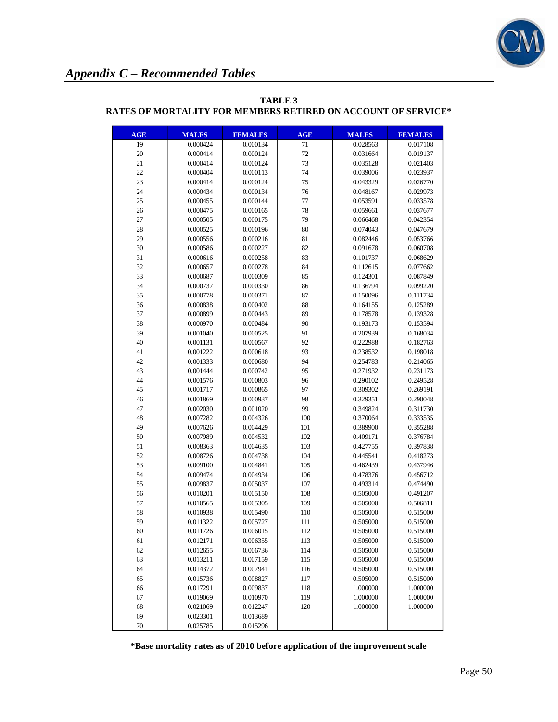

| <b>AGE</b> | <b>MALES</b> | <b>FEMALES</b> | <b>AGE</b> | <b>MALES</b> | <b>FEMALES</b> |
|------------|--------------|----------------|------------|--------------|----------------|
| 19         | 0.000424     | 0.000134       | 71         | 0.028563     | 0.017108       |
| 20         | 0.000414     | 0.000124       | 72         | 0.031664     | 0.019137       |
| 21         | 0.000414     | 0.000124       | 73         | 0.035128     | 0.021403       |
| 22         | 0.000404     | 0.000113       | 74         | 0.039006     | 0.023937       |
| 23         | 0.000414     | 0.000124       | 75         | 0.043329     | 0.026770       |
| 24         | 0.000434     | 0.000134       | 76         | 0.048167     | 0.029973       |
| 25         | 0.000455     | 0.000144       | 77         | 0.053591     | 0.033578       |
| 26         | 0.000475     | 0.000165       | 78         | 0.059661     | 0.037677       |
| 27         | 0.000505     | 0.000175       | 79         | 0.066468     | 0.042354       |
| 28         | 0.000525     | 0.000196       | 80         | 0.074043     | 0.047679       |
| 29         | 0.000556     | 0.000216       | 81         | 0.082446     | 0.053766       |
| 30         | 0.000586     | 0.000227       | 82         | 0.091678     | 0.060708       |
| 31         | 0.000616     | 0.000258       | 83         | 0.101737     | 0.068629       |
| 32         | 0.000657     | 0.000278       | 84         | 0.112615     | 0.077662       |
| 33         | 0.000687     | 0.000309       | 85         | 0.124301     | 0.087849       |
| 34         | 0.000737     | 0.000330       | 86         | 0.136794     | 0.099220       |
| 35         | 0.000778     | 0.000371       | 87         | 0.150096     | 0.111734       |
| 36         | 0.000838     | 0.000402       | 88         | 0.164155     | 0.125289       |
| 37         | 0.000899     | 0.000443       | 89         | 0.178578     | 0.139328       |
| 38         | 0.000970     | 0.000484       | 90         | 0.193173     | 0.153594       |
| 39         | 0.001040     | 0.000525       | 91         | 0.207939     | 0.168034       |
| 40         | 0.001131     | 0.000567       | 92         | 0.222988     | 0.182763       |
| 41         | 0.001222     | 0.000618       | 93         | 0.238532     | 0.198018       |
| 42         | 0.001333     | 0.000680       | 94         | 0.254783     | 0.214065       |
| 43         | 0.001444     | 0.000742       | 95         | 0.271932     | 0.231173       |
| 44         | 0.001576     | 0.000803       | 96         | 0.290102     | 0.249528       |
| 45         | 0.001717     | 0.000865       | 97         | 0.309302     | 0.269191       |
| 46         | 0.001869     | 0.000937       | 98         | 0.329351     | 0.290048       |
| 47         | 0.002030     | 0.001020       | 99         | 0.349824     | 0.311730       |
| 48         | 0.007282     | 0.004326       | 100        | 0.370064     | 0.333535       |
| 49         | 0.007626     | 0.004429       | 101        | 0.389900     | 0.355288       |
| 50         | 0.007989     | 0.004532       | 102        | 0.409171     | 0.376784       |
| 51         | 0.008363     | 0.004635       | 103        | 0.427755     | 0.397838       |
| 52         | 0.008726     | 0.004738       | 104        | 0.445541     | 0.418273       |
| 53         | 0.009100     | 0.004841       | 105        | 0.462439     | 0.437946       |
| 54         | 0.009474     | 0.004934       | 106        | 0.478376     | 0.456712       |
| 55         | 0.009837     | 0.005037       | 107        | 0.493314     | 0.474490       |
| 56         | 0.010201     | 0.005150       | 108        | 0.505000     | 0.491207       |
| 57         | 0.010565     | 0.005305       | 109        | 0.505000     | 0.506811       |
| 58         | 0.010938     | 0.005490       | 110        | 0.505000     | 0.515000       |
| 59         | 0.011322     | 0.005727       | 111        | 0.505000     | 0.515000       |
| 60         | 0.011726     | 0.006015       | 112        | 0.505000     | 0.515000       |
| 61         | 0.012171     | 0.006355       | 113        | 0.505000     | 0.515000       |
| 62         | 0.012655     | 0.006736       | 114        | 0.505000     | 0.515000       |
| 63         | 0.013211     | 0.007159       | 115        | 0.505000     | 0.515000       |
| 64         | 0.014372     | 0.007941       | 116        | 0.505000     | 0.515000       |
| 65         | 0.015736     | 0.008827       | 117        | 0.505000     | 0.515000       |
| 66         | 0.017291     | 0.009837       | 118        | 1.000000     | 1.000000       |
| 67         | 0.019069     | 0.010970       | 119        | 1.000000     | 1.000000       |
| 68         | 0.021069     | 0.012247       | 120        | 1.000000     | 1.000000       |
| 69         | 0.023301     | 0.013689       |            |              |                |
| 70         | 0.025785     | 0.015296       |            |              |                |

### **TABLE 3 RATES OF MORTALITY FOR MEMBERS RETIRED ON ACCOUNT OF SERVICE\***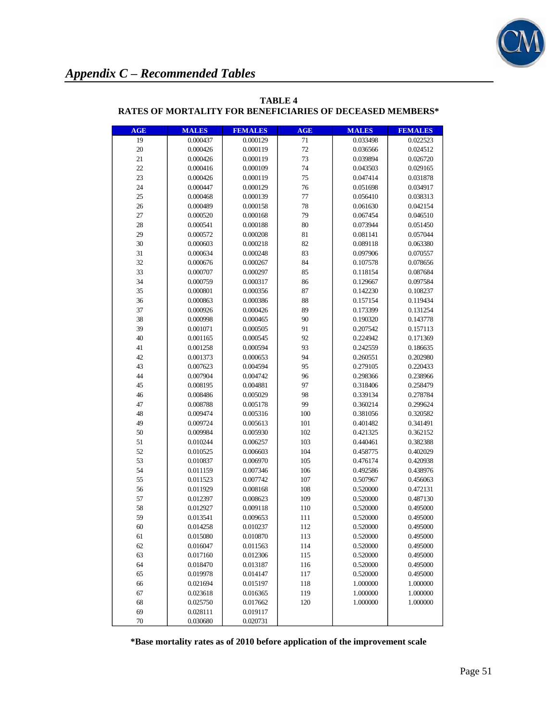

| <b>AGE</b> | <b>MALES</b> | <b>FEMALES</b> | <b>AGE</b> | <b>MALES</b> | <b>FEMALES</b> |
|------------|--------------|----------------|------------|--------------|----------------|
| 19         | 0.000437     | 0.000129       | 71         | 0.033498     | 0.022523       |
| 20         | 0.000426     | 0.000119       | 72         | 0.036566     | 0.024512       |
| 21         | 0.000426     | 0.000119       | 73         | 0.039894     | 0.026720       |
| 22         | 0.000416     | 0.000109       | 74         | 0.043503     | 0.029165       |
| 23         | 0.000426     | 0.000119       | 75         | 0.047414     | 0.031878       |
| 24         | 0.000447     | 0.000129       | 76         | 0.051698     | 0.034917       |
| 25         | 0.000468     | 0.000139       | 77         | 0.056410     | 0.038313       |
| 26         | 0.000489     | 0.000158       | 78         | 0.061630     | 0.042154       |
| 27         | 0.000520     | 0.000168       | 79         | 0.067454     | 0.046510       |
| 28         | 0.000541     | 0.000188       | 80         | 0.073944     | 0.051450       |
| 29         | 0.000572     | 0.000208       | 81         | 0.081141     | 0.057044       |
| 30         | 0.000603     | 0.000218       | 82         | 0.089118     | 0.063380       |
| 31         | 0.000634     | 0.000248       | 83         | 0.097906     | 0.070557       |
| 32         | 0.000676     | 0.000267       | 84         | 0.107578     | 0.078656       |
| 33         | 0.000707     | 0.000297       | 85         | 0.118154     | 0.087684       |
| 34         | 0.000759     | 0.000317       | 86         | 0.129667     | 0.097584       |
| 35         | 0.000801     | 0.000356       | 87         | 0.142230     | 0.108237       |
| 36         | 0.000863     | 0.000386       | 88         | 0.157154     | 0.119434       |
| 37         | 0.000926     | 0.000426       | 89         | 0.173399     | 0.131254       |
| 38         | 0.000998     | 0.000465       | 90         | 0.190320     | 0.143778       |
| 39         | 0.001071     | 0.000505       | 91         | 0.207542     | 0.157113       |
| 40         | 0.001165     | 0.000545       | 92         | 0.224942     | 0.171369       |
| 41         | 0.001258     | 0.000594       | 93         | 0.242559     | 0.186635       |
| 42         | 0.001373     | 0.000653       | 94         | 0.260551     | 0.202980       |
| 43         | 0.007623     | 0.004594       | 95         | 0.279105     | 0.220433       |
| 44         | 0.007904     | 0.004742       | 96         | 0.298366     | 0.238966       |
| 45         | 0.008195     | 0.004881       | 97         | 0.318406     | 0.258479       |
| 46         | 0.008486     | 0.005029       | 98         | 0.339134     | 0.278784       |
| 47         | 0.008788     | 0.005178       | 99         | 0.360214     | 0.299624       |
| 48         | 0.009474     | 0.005316       | 100        | 0.381056     | 0.320582       |
| 49         | 0.009724     | 0.005613       | 101        | 0.401482     | 0.341491       |
| 50         | 0.009984     | 0.005930       | 102        | 0.421325     | 0.362152       |
| 51         | 0.010244     | 0.006257       | 103        | 0.440461     | 0.382388       |
| 52         | 0.010525     | 0.006603       | 104        | 0.458775     | 0.402029       |
| 53         | 0.010837     | 0.006970       | 105        | 0.476174     | 0.420938       |
| 54         | 0.011159     | 0.007346       | 106        | 0.492586     | 0.438976       |
| 55         | 0.011523     | 0.007742       | 107        | 0.507967     | 0.456063       |
| 56         | 0.011929     | 0.008168       | 108        | 0.520000     | 0.472131       |
| 57         | 0.012397     | 0.008623       | 109        | 0.520000     | 0.487130       |
| 58         | 0.012927     | 0.009118       | 110        | 0.520000     | 0.495000       |
| 59         | 0.013541     | 0.009653       | 111        | 0.520000     | 0.495000       |
| 60         | 0.014258     | 0.010237       | 112        | 0.520000     | 0.495000       |
| 61         | 0.015080     | 0.010870       | 113        | 0.520000     | 0.495000       |
| 62         | 0.016047     | 0.011563       | 114        | 0.520000     | 0.495000       |
| 63         | 0.017160     | 0.012306       | 115        | 0.520000     | 0.495000       |
| 64         | 0.018470     | 0.013187       | 116        | 0.520000     | 0.495000       |
| 65         | 0.019978     | 0.014147       | 117        | 0.520000     | 0.495000       |
| 66         | 0.021694     | 0.015197       | 118        | 1.000000     | 1.000000       |
| 67         | 0.023618     | 0.016365       | 119        | 1.000000     | 1.000000       |
| 68         | 0.025750     | 0.017662       | 120        | 1.000000     | 1.000000       |
| 69         | 0.028111     | 0.019117       |            |              |                |
| 70         | 0.030680     | 0.020731       |            |              |                |

### **TABLE 4 RATES OF MORTALITY FOR BENEFICIARIES OF DECEASED MEMBERS\***